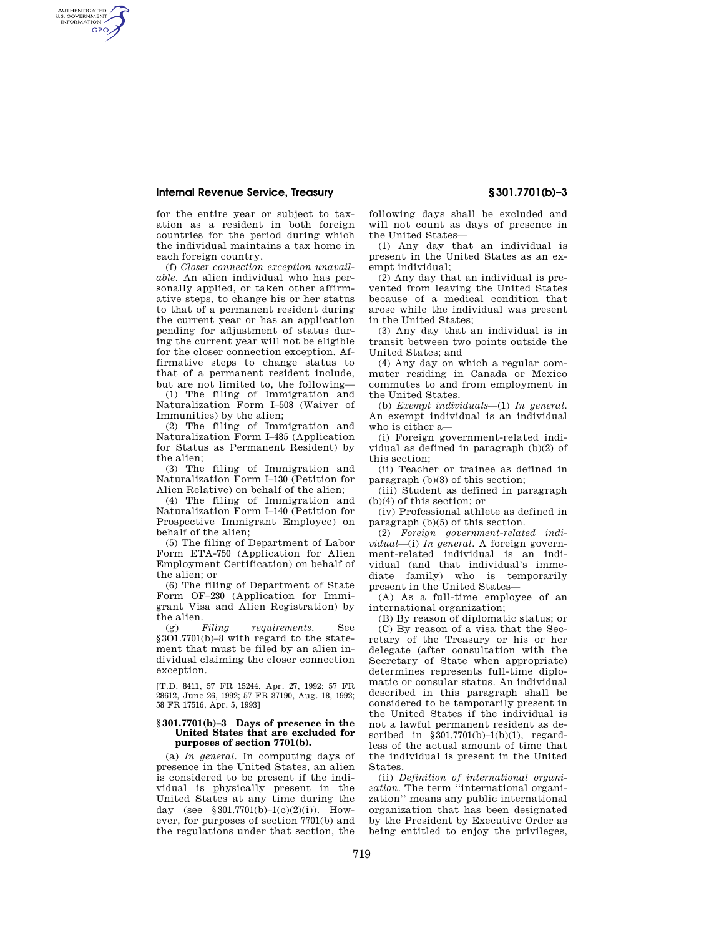## **Internal Revenue Service, Treasury § 301.7701(b)–3**

AUTHENTICATED<br>U.S. GOVERNMENT<br>INFORMATION **GPO** 

> for the entire year or subject to taxation as a resident in both foreign countries for the period during which the individual maintains a tax home in each foreign country.

> (f) *Closer connection exception unavailable.* An alien individual who has personally applied, or taken other affirmative steps, to change his or her status to that of a permanent resident during the current year or has an application pending for adjustment of status during the current year will not be eligible for the closer connection exception. Affirmative steps to change status to that of a permanent resident include, but are not limited to, the following—

> (1) The filing of Immigration and Naturalization Form I–508 (Waiver of Immunities) by the alien;

> (2) The filing of Immigration and Naturalization Form I–485 (Application for Status as Permanent Resident) by the alien;

> (3) The filing of Immigration and Naturalization Form I–130 (Petition for Alien Relative) on behalf of the alien;

> (4) The filing of Immigration and Naturalization Form I–140 (Petition for Prospective Immigrant Employee) on behalf of the alien;

> (5) The filing of Department of Labor Form ETA-750 (Application for Alien Employment Certification) on behalf of the alien; or

> (6) The filing of Department of State Form OF–230 (Application for Immigrant Visa and Alien Registration) by the alien.<br>(g)  $Filing$

> (g) *Filing requirements.* See §3O1.7701(b)–8 with regard to the statement that must be filed by an alien individual claiming the closer connection exception.

> [T.D. 8411, 57 FR 15244, Apr. 27, 1992; 57 FR 28612, June 26, 1992; 57 FR 37190, Aug. 18, 1992; 58 FR 17516, Apr. 5, 1993]

### **§ 301.7701(b)–3 Days of presence in the United States that are excluded for purposes of section 7701(b).**

(a) *In general.* In computing days of presence in the United States, an alien is considered to be present if the individual is physically present in the United States at any time during the day (see  $$301.7701(b)-1(c)(2)(i)$ ). However, for purposes of section 7701(b) and the regulations under that section, the

following days shall be excluded and will not count as days of presence in the United States—

(1) Any day that an individual is present in the United States as an exempt individual;

(2) Any day that an individual is prevented from leaving the United States because of a medical condition that arose while the individual was present in the United States;

(3) Any day that an individual is in transit between two points outside the United States; and

(4) Any day on which a regular commuter residing in Canada or Mexico commutes to and from employment in the United States.

(b) *Exempt individuals*—(1) *In general.*  An exempt individual is an individual who is either a—

(i) Foreign government-related individual as defined in paragraph (b)(2) of this section;

(ii) Teacher or trainee as defined in paragraph (b)(3) of this section;

(iii) Student as defined in paragraph (b)(4) of this section; or

(iv) Professional athlete as defined in paragraph (b)(5) of this section.

(2) *Foreign government-related individual*—(i) *In general.* A foreign government-related individual is an individual (and that individual's immediate family) who is temporarily present in the United States—

(A) As a full-time employee of an international organization;

(B) By reason of diplomatic status; or (C) By reason of a visa that the Secretary of the Treasury or his or her delegate (after consultation with the Secretary of State when appropriate) determines represents full-time diplomatic or consular status. An individual described in this paragraph shall be considered to be temporarily present in the United States if the individual is not a lawful permanent resident as described in  $§ 301.7701(b)-1(b)(1)$ , regardless of the actual amount of time that the individual is present in the United States.

(ii) *Definition of international organization.* The term ''international organization'' means any public international organization that has been designated by the President by Executive Order as being entitled to enjoy the privileges,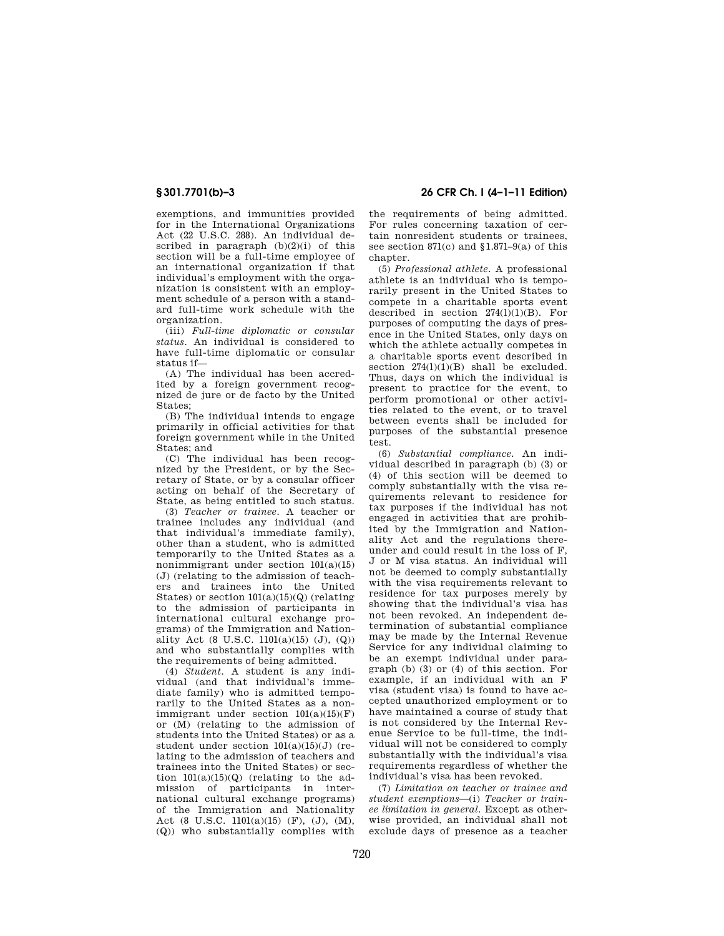exemptions, and immunities provided for in the International Organizations Act (22 U.S.C. 288). An individual described in paragraph (b)(2)(i) of this section will be a full-time employee of an international organization if that individual's employment with the organization is consistent with an employment schedule of a person with a standard full-time work schedule with the organization.

(iii) *Full-time diplomatic or consular status.* An individual is considered to have full-time diplomatic or consular status if—

(A) The individual has been accredited by a foreign government recognized de jure or de facto by the United States;

(B) The individual intends to engage primarily in official activities for that foreign government while in the United States; and

(C) The individual has been recognized by the President, or by the Secretary of State, or by a consular officer acting on behalf of the Secretary of State, as being entitled to such status.

(3) *Teacher or trainee.* A teacher or trainee includes any individual (and that individual's immediate family), other than a student, who is admitted temporarily to the United States as a nonimmigrant under section 101(a)(15) (J) (relating to the admission of teachers and trainees into the United States) or section  $101(a)(15)(Q)$  (relating to the admission of participants in international cultural exchange programs) of the Immigration and Nationality Act (8 U.S.C. 1101(a)(15) (J), (Q)) and who substantially complies with the requirements of being admitted.

(4) *Student.* A student is any individual (and that individual's immediate family) who is admitted temporarily to the United States as a nonimmigrant under section  $101(a)(15)(F)$ or (M) (relating to the admission of students into the United States) or as a student under section  $101(a)(15)(J)$  (relating to the admission of teachers and trainees into the United States) or section  $101(a)(15)(Q)$  (relating to the admission of participants in international cultural exchange programs) of the Immigration and Nationality Act (8 U.S.C. 1101(a)(15) (F), (J), (M), (Q)) who substantially complies with

**§ 301.7701(b)–3 26 CFR Ch. I (4–1–11 Edition)** 

the requirements of being admitted. For rules concerning taxation of certain nonresident students or trainees, see section 871(c) and §1.871–9(a) of this chapter.

(5) *Professional athlete.* A professional athlete is an individual who is temporarily present in the United States to compete in a charitable sports event described in section  $274(1)(1)(B)$ . For purposes of computing the days of presence in the United States, only days on which the athlete actually competes in a charitable sports event described in section  $274(1)(1)(B)$  shall be excluded. Thus, days on which the individual is present to practice for the event, to perform promotional or other activities related to the event, or to travel between events shall be included for purposes of the substantial presence test.

(6) *Substantial compliance.* An individual described in paragraph (b) (3) or (4) of this section will be deemed to comply substantially with the visa requirements relevant to residence for tax purposes if the individual has not engaged in activities that are prohibited by the Immigration and Nationality Act and the regulations thereunder and could result in the loss of F, J or M visa status. An individual will not be deemed to comply substantially with the visa requirements relevant to residence for tax purposes merely by showing that the individual's visa has not been revoked. An independent determination of substantial compliance may be made by the Internal Revenue Service for any individual claiming to be an exempt individual under paragraph (b)  $(3)$  or  $(4)$  of this section. For example, if an individual with an F visa (student visa) is found to have accepted unauthorized employment or to have maintained a course of study that is not considered by the Internal Revenue Service to be full-time, the individual will not be considered to comply substantially with the individual's visa requirements regardless of whether the individual's visa has been revoked.

(7) *Limitation on teacher or trainee and student exemptions*—(i) *Teacher or trainee limitation in general.* Except as otherwise provided, an individual shall not exclude days of presence as a teacher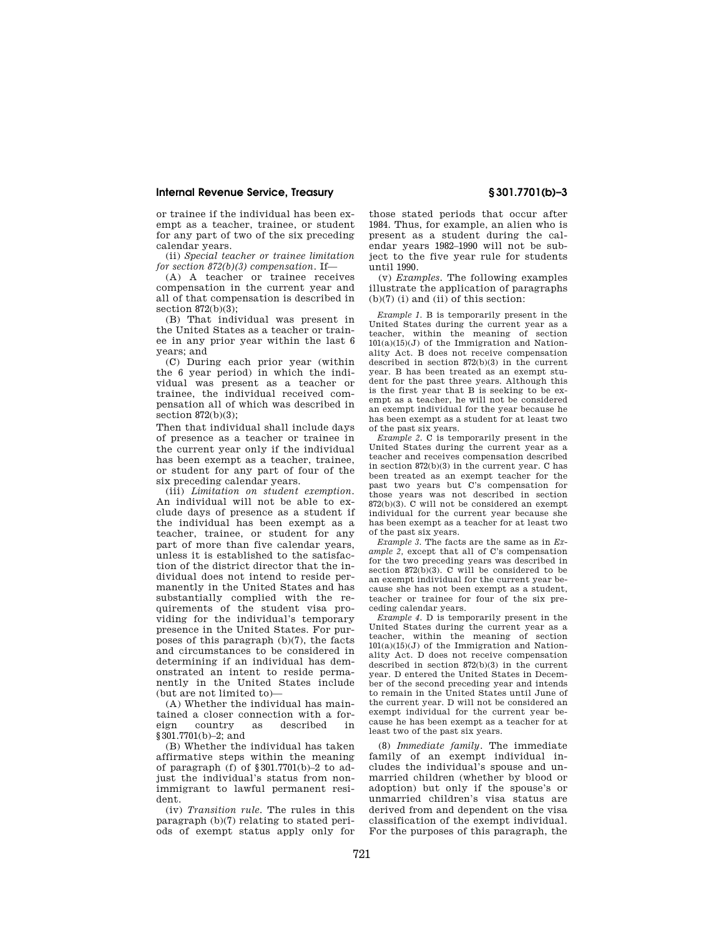## **Internal Revenue Service, Treasury § 301.7701(b)–3**

or trainee if the individual has been exempt as a teacher, trainee, or student for any part of two of the six preceding calendar years.

(ii) *Special teacher or trainee limitation for section 872(b)(3) compensation.* If—

(A) A teacher or trainee receives compensation in the current year and all of that compensation is described in section 872(b)(3);

(B) That individual was present in the United States as a teacher or trainee in any prior year within the last 6 years; and

(C) During each prior year (within the 6 year period) in which the individual was present as a teacher or trainee, the individual received compensation all of which was described in section 872(b)(3);

Then that individual shall include days of presence as a teacher or trainee in the current year only if the individual has been exempt as a teacher, trainee, or student for any part of four of the six preceding calendar years.

(iii) *Limitation on student exemption.*  An individual will not be able to exclude days of presence as a student if the individual has been exempt as a teacher, trainee, or student for any part of more than five calendar years, unless it is established to the satisfaction of the district director that the individual does not intend to reside permanently in the United States and has substantially complied with the requirements of the student visa providing for the individual's temporary presence in the United States. For purposes of this paragraph (b)(7), the facts and circumstances to be considered in determining if an individual has demonstrated an intent to reside permanently in the United States include (but are not limited to)—

(A) Whether the individual has maintained a closer connection with a foreign country as described in §301.7701(b)–2; and

(B) Whether the individual has taken affirmative steps within the meaning of paragraph (f) of  $$301.7701(b)-2$  to adjust the individual's status from nonimmigrant to lawful permanent resident.

(iv) *Transition rule.* The rules in this paragraph (b)(7) relating to stated periods of exempt status apply only for

those stated periods that occur after 1984. Thus, for example, an alien who is present as a student during the calendar years 1982–1990 will not be subject to the five year rule for students until 1990.

(v) *Examples.* The following examples illustrate the application of paragraphs (b)(7) (i) and (ii) of this section:

*Example 1.* B is temporarily present in the United States during the current year as a teacher, within the meaning of section  $101(a)(15)(J)$  of the Immigration and Nationality Act. B does not receive compensation described in section 872(b)(3) in the current year. B has been treated as an exempt student for the past three years. Although this is the first year that B is seeking to be exempt as a teacher, he will not be considered an exempt individual for the year because he has been exempt as a student for at least two of the past six years.

*Example 2.* C is temporarily present in the United States during the current year as a teacher and receives compensation described in section 872(b)(3) in the current year. C has been treated as an exempt teacher for the past two years but C's compensation for those years was not described in section 872(b)(3). C will not be considered an exempt individual for the current year because she has been exempt as a teacher for at least two of the past six years.

*Example 3.* The facts are the same as in *Example 2,* except that all of C's compensation for the two preceding years was described in section  $872(b)(3)$ . C will be considered to be an exempt individual for the current year because she has not been exempt as a student, teacher or trainee for four of the six preceding calendar years.

*Example 4.* D is temporarily present in the United States during the current year as a teacher, within the meaning of section  $101(a)(15)(J)$  of the Immigration and Nationality Act. D does not receive compensation described in section 872(b)(3) in the current year. D entered the United States in December of the second preceding year and intends to remain in the United States until June of the current year. D will not be considered an exempt individual for the current year because he has been exempt as a teacher for at least two of the past six years.

(8) *Immediate family.* The immediate family of an exempt individual includes the individual's spouse and unmarried children (whether by blood or adoption) but only if the spouse's or unmarried children's visa status are derived from and dependent on the visa classification of the exempt individual. For the purposes of this paragraph, the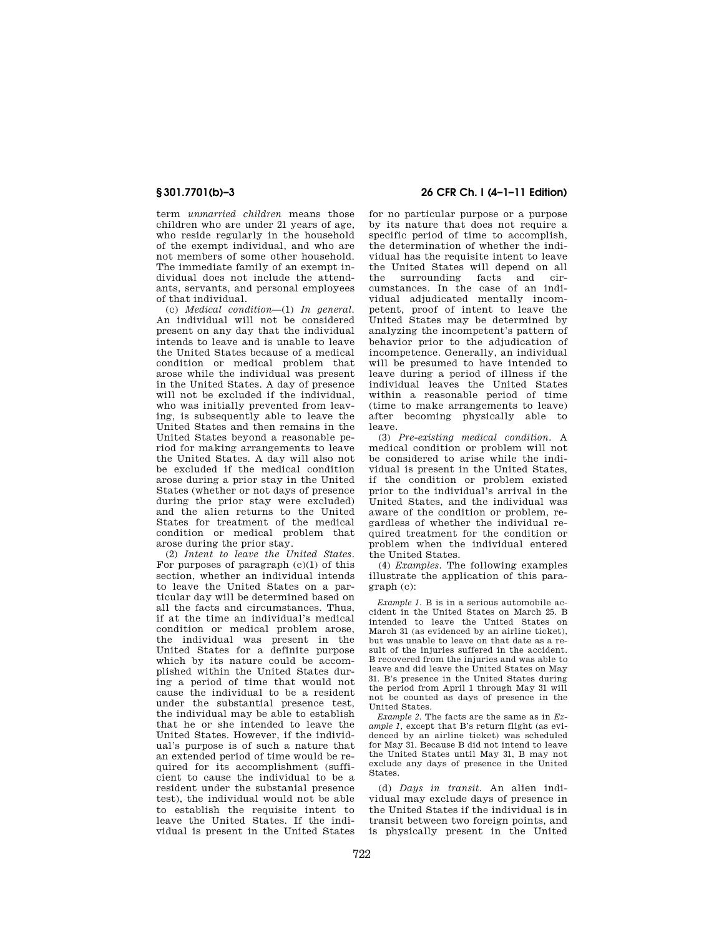term *unmarried children* means those children who are under 21 years of age, who reside regularly in the household of the exempt individual, and who are not members of some other household. The immediate family of an exempt individual does not include the attendants, servants, and personal employees of that individual.

(c) *Medical condition*—(1) *In general.*  An individual will not be considered present on any day that the individual intends to leave and is unable to leave the United States because of a medical condition or medical problem that arose while the individual was present in the United States. A day of presence will not be excluded if the individual, who was initially prevented from leaving, is subsequently able to leave the United States and then remains in the United States beyond a reasonable period for making arrangements to leave the United States. A day will also not be excluded if the medical condition arose during a prior stay in the United States (whether or not days of presence during the prior stay were excluded) and the alien returns to the United States for treatment of the medical condition or medical problem that arose during the prior stay.

(2) *Intent to leave the United States.*  For purposes of paragraph  $(c)(1)$  of this section, whether an individual intends to leave the United States on a particular day will be determined based on all the facts and circumstances. Thus, if at the time an individual's medical condition or medical problem arose, the individual was present in the United States for a definite purpose which by its nature could be accomplished within the United States during a period of time that would not cause the individual to be a resident under the substantial presence test, the individual may be able to establish that he or she intended to leave the United States. However, if the individual's purpose is of such a nature that an extended period of time would be required for its accomplishment (sufficient to cause the individual to be a resident under the substanial presence test), the individual would not be able to establish the requisite intent to leave the United States. If the individual is present in the United States

# **§ 301.7701(b)–3 26 CFR Ch. I (4–1–11 Edition)**

for no particular purpose or a purpose by its nature that does not require a specific period of time to accomplish, the determination of whether the individual has the requisite intent to leave the United States will depend on all<br>the surrounding facts and cirfacts and circumstances. In the case of an individual adjudicated mentally incompetent, proof of intent to leave the United States may be determined by analyzing the incompetent's pattern of behavior prior to the adjudication of incompetence. Generally, an individual will be presumed to have intended to leave during a period of illness if the individual leaves the United States within a reasonable period of time (time to make arrangements to leave) after becoming physically able to leave.

(3) *Pre-existing medical condition.* A medical condition or problem will not be considered to arise while the individual is present in the United States, if the condition or problem existed prior to the individual's arrival in the United States, and the individual was aware of the condition or problem, regardless of whether the individual required treatment for the condition or problem when the individual entered the United States.

(4) *Examples.* The following examples illustrate the application of this paragraph (c):

*Example 1.* B is in a serious automobile accident in the United States on March 25. B intended to leave the United States on March 31 (as evidenced by an airline ticket), but was unable to leave on that date as a result of the injuries suffered in the accident. B recovered from the injuries and was able to leave and did leave the United States on May 31. B's presence in the United States during the period from April 1 through May 31 will not be counted as days of presence in the United States.

*Example 2.* The facts are the same as in *Example 1,* except that B's return flight (as evidenced by an airline ticket) was scheduled for May 31. Because B did not intend to leave the United States until May 31, B may not exclude any days of presence in the United States.

(d) *Days in transit.* An alien individual may exclude days of presence in the United States if the individual is in transit between two foreign points, and is physically present in the United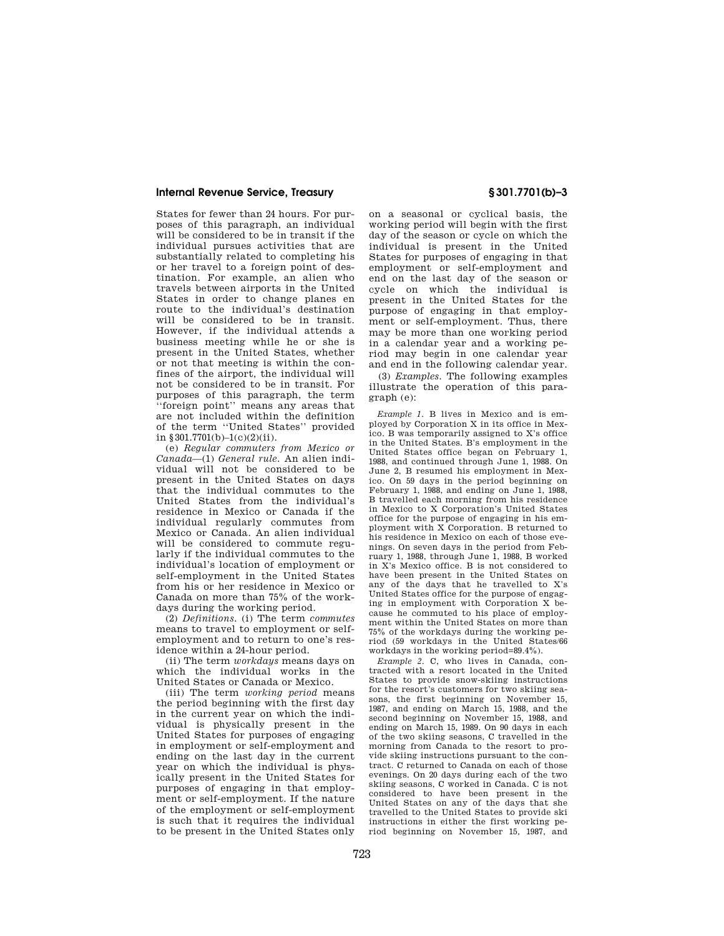## **Internal Revenue Service, Treasury § 301.7701(b)–3**

States for fewer than 24 hours. For purposes of this paragraph, an individual will be considered to be in transit if the individual pursues activities that are substantially related to completing his or her travel to a foreign point of destination. For example, an alien who travels between airports in the United States in order to change planes en route to the individual's destination will be considered to be in transit. However, if the individual attends a business meeting while he or she is present in the United States, whether or not that meeting is within the confines of the airport, the individual will not be considered to be in transit. For purposes of this paragraph, the term ''foreign point'' means any areas that are not included within the definition of the term ''United States'' provided in §301.7701(b)–1(c)(2)(ii).

(e) *Regular commuters from Mexico or Canada*—(1) *General rule.* An alien individual will not be considered to be present in the United States on days that the individual commutes to the United States from the individual's residence in Mexico or Canada if the individual regularly commutes from Mexico or Canada. An alien individual will be considered to commute regularly if the individual commutes to the individual's location of employment or self-employment in the United States from his or her residence in Mexico or Canada on more than 75% of the workdays during the working period.

(2) *Definitions.* (i) The term *commutes*  means to travel to employment or selfemployment and to return to one's residence within a 24-hour period.

(ii) The term *workdays* means days on which the individual works in the United States or Canada or Mexico.

(iii) The term *working period* means the period beginning with the first day in the current year on which the individual is physically present in the United States for purposes of engaging in employment or self-employment and ending on the last day in the current year on which the individual is physically present in the United States for purposes of engaging in that employment or self-employment. If the nature of the employment or self-employment is such that it requires the individual to be present in the United States only

on a seasonal or cyclical basis, the working period will begin with the first day of the season or cycle on which the individual is present in the United States for purposes of engaging in that employment or self-employment and end on the last day of the season or cycle on which the individual is present in the United States for the purpose of engaging in that employment or self-employment. Thus, there may be more than one working period in a calendar year and a working period may begin in one calendar year and end in the following calendar year.

(3) *Examples.* The following examples illustrate the operation of this paragraph (e):

*Example 1.* B lives in Mexico and is employed by Corporation X in its office in Mexico. B was temporarily assigned to X's office in the United States. B's employment in the United States office began on February 1, 1988, and continued through June 1, 1988. On June 2, B resumed his employment in Mexico. On 59 days in the period beginning on February 1, 1988, and ending on June 1, 1988, B travelled each morning from his residence in Mexico to X Corporation's United States office for the purpose of engaging in his employment with X Corporation. B returned to his residence in Mexico on each of those evenings. On seven days in the period from February 1, 1988, through June 1, 1988, B worked in X's Mexico office. B is not considered to have been present in the United States on any of the days that he travelled to X's United States office for the purpose of engaging in employment with Corporation X because he commuted to his place of employment within the United States on more than 75% of the workdays during the working period (59 workdays in the United States/66 workdays in the working period=89.4%).

*Example 2.* C, who lives in Canada, contracted with a resort located in the United States to provide snow-skiing instructions for the resort's customers for two skiing seasons, the first beginning on November 15, 1987, and ending on March 15, 1988, and the second beginning on November 15, 1988, and ending on March 15, 1989. On 90 days in each of the two skiing seasons, C travelled in the morning from Canada to the resort to provide skiing instructions pursuant to the contract. C returned to Canada on each of those evenings. On 20 days during each of the two skiing seasons, C worked in Canada. C is not considered to have been present in the United States on any of the days that she travelled to the United States to provide ski instructions in either the first working period beginning on November 15, 1987, and